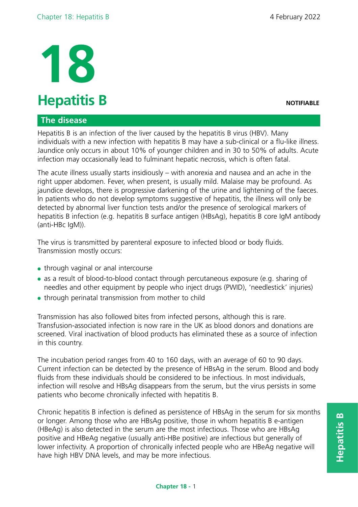

## **The disease**

Hepatitis B is an infection of the liver caused by the hepatitis B virus (HBV). Many individuals with a new infection with hepatitis B may have a sub-clinical or a flu-like illness. Jaundice only occurs in about 10% of younger children and in 30 to 50% of adults. Acute infection may occasionally lead to fulminant hepatic necrosis, which is often fatal.

The acute illness usually starts insidiously – with anorexia and nausea and an ache in the right upper abdomen. Fever, when present, is usually mild. Malaise may be profound. As jaundice develops, there is progressive darkening of the urine and lightening of the faeces. In patients who do not develop symptoms suggestive of hepatitis, the illness will only be detected by abnormal liver function tests and/or the presence of serological markers of hepatitis B infection (e.g. hepatitis B surface antigen (HBsAg), hepatitis B core IgM antibody (anti-HBc IgM)).

The virus is transmitted by parenteral exposure to infected blood or body fluids. Transmission mostly occurs:

- through vaginal or anal intercourse
- as a result of blood-to-blood contact through percutaneous exposure (e.g. sharing of needles and other equipment by people who inject drugs (PWID), 'needlestick' injuries)
- through perinatal transmission from mother to child

Transmission has also followed bites from infected persons, although this is rare. Transfusion-associated infection is now rare in the UK as blood donors and donations are screened. Viral inactivation of blood products has eliminated these as a source of infection in this country.

The incubation period ranges from 40 to 160 days, with an average of 60 to 90 days. Current infection can be detected by the presence of HBsAg in the serum. Blood and body fluids from these individuals should be considered to be infectious. In most individuals, infection will resolve and HBsAg disappears from the serum, but the virus persists in some patients who become chronically infected with hepatitis B.

Chronic hepatitis B infection is defined as persistence of HBsAg in the serum for six months or longer. Among those who are HBsAg positive, those in whom hepatitis B e-antigen (HBeAg) is also detected in the serum are the most infectious. Those who are HBsAg positive and HBeAg negative (usually anti-HBe positive) are infectious but generally of lower infectivity. A proportion of chronically infected people who are HBeAg negative will have high HBV DNA levels, and may be more infectious.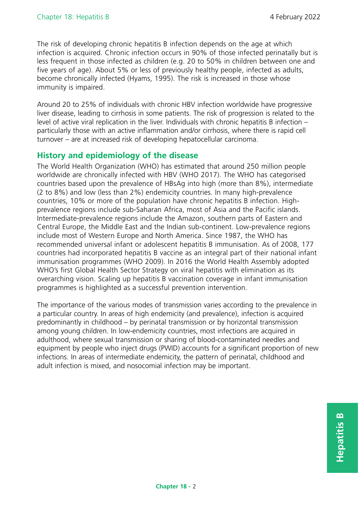The risk of developing chronic hepatitis B infection depends on the age at which infection is acquired. Chronic infection occurs in 90% of those infected perinatally but is less frequent in those infected as children (e.g. 20 to 50% in children between one and five years of age). About 5% or less of previously healthy people, infected as adults, become chronically infected (Hyams, 1995). The risk is increased in those whose immunity is impaired.

Around 20 to 25% of individuals with chronic HBV infection worldwide have progressive liver disease, leading to cirrhosis in some patients. The risk of progression is related to the level of active viral replication in the liver. Individuals with chronic hepatitis B infection – particularly those with an active inflammation and/or cirrhosis, where there is rapid cell turnover – are at increased risk of developing hepatocellular carcinoma.

# **History and epidemiology of the disease**

The World Health Organization (WHO) has estimated that around 250 million people worldwide are chronically infected with HBV (WHO 2017). The WHO has categorised countries based upon the prevalence of HBsAg into high (more than 8%), intermediate (2 to 8%) and low (less than 2%) endemicity countries. In many high-prevalence countries, 10% or more of the population have chronic hepatitis B infection. Highprevalence regions include sub-Saharan Africa, most of Asia and the Pacific islands. Intermediate-prevalence regions include the Amazon, southern parts of Eastern and Central Europe, the Middle East and the Indian sub-continent. Low-prevalence regions include most of Western Europe and North America. Since 1987, the WHO has recommended universal infant or adolescent hepatitis B immunisation. As of 2008, 177 countries had incorporated hepatitis B vaccine as an integral part of their national infant immunisation programmes (WHO 2009). In 2016 the World Health Assembly adopted WHO's first Global Health Sector Strategy on viral hepatitis with elimination as its overarching vision. Scaling up hepatitis B vaccination coverage in infant immunisation programmes is highlighted as a successful prevention intervention.

The importance of the various modes of transmission varies according to the prevalence in a particular country. In areas of high endemicity (and prevalence), infection is acquired predominantly in childhood – by perinatal transmission or by horizontal transmission among young children. In low-endemicity countries, most infections are acquired in adulthood, where sexual transmission or sharing of blood-contaminated needles and equipment by people who inject drugs (PWID) accounts for a significant proportion of new infections. In areas of intermediate endemicity, the pattern of perinatal, childhood and adult infection is mixed, and nosocomial infection may be important.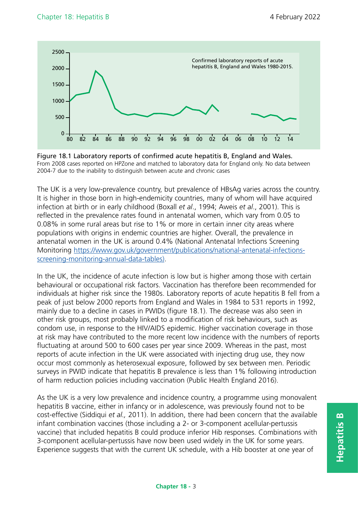

Figure 18.1 Laboratory reports of confirmed acute hepatitis B, England and Wales. From 2008 cases reported on HPZone and matched to laboratory data for England only. No data between 2004-7 due to the inability to distinguish between acute and chronic cases

The UK is a very low-prevalence country, but prevalence of HBsAg varies across the country. It is higher in those born in high-endemicity countries, many of whom will have acquired infection at birth or in early childhood (Boxall *et al*., 1994; Aweis *et al*., 2001). This is reflected in the prevalence rates found in antenatal women, which vary from 0.05 to 0.08% in some rural areas but rise to 1% or more in certain inner city areas where populations with origins in endemic countries are higher. Overall, the prevalence in antenatal women in the UK is around 0.4% (National Antenatal Infections Screening Monitoring [https://www.gov.uk/government/publications/national-antenatal-infections](https://www.gov.uk/government/publications/national-antenatal-infections-screening-monitoring-annual-data-tables)[screening-monitoring-annual-data-tables](https://www.gov.uk/government/publications/national-antenatal-infections-screening-monitoring-annual-data-tables)).

In the UK, the incidence of acute infection is low but is higher among those with certain behavioural or occupational risk factors. Vaccination has therefore been recommended for individuals at higher risk since the 1980s. Laboratory reports of acute hepatitis B fell from a peak of just below 2000 reports from England and Wales in 1984 to 531 reports in 1992, mainly due to a decline in cases in PWIDs (figure 18.1). The decrease was also seen in other risk groups, most probably linked to a modification of risk behaviours, such as condom use, in response to the HIV/AIDS epidemic. Higher vaccination coverage in those at risk may have contributed to the more recent low incidence with the numbers of reports fluctuating at around 500 to 600 cases per year since 2009. Whereas in the past, most reports of acute infection in the UK were associated with injecting drug use, they now occur most commonly as heterosexual exposure, followed by sex between men. Periodic surveys in PWID indicate that hepatitis B prevalence is less than 1% following introduction of harm reduction policies including vaccination (Public Health England 2016).

As the UK is a very low prevalence and incidence country, a programme using monovalent hepatitis B vaccine, either in infancy or in adolescence, was previously found not to be cost-effective (Siddiqui *et al.,* 2011). In addition, there had been concern that the available infant combination vaccines (those including a 2- or 3-component acellular-pertussis vaccine) that included hepatitis B could produce inferior Hib responses. Combinations with 3-component acellular-pertussis have now been used widely in the UK for some years. Experience suggests that with the current UK schedule, with a Hib booster at one year of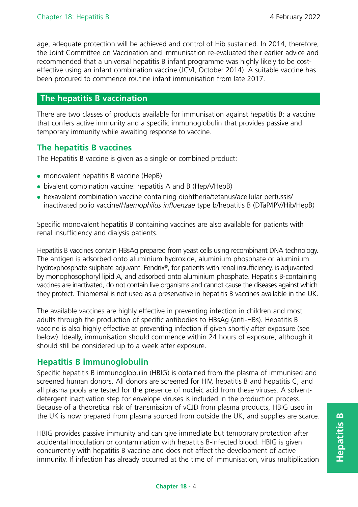age, adequate protection will be achieved and control of Hib sustained. In 2014, therefore, the Joint Committee on Vaccination and Immunisation re-evaluated their earlier advice and recommended that a universal hepatitis B infant programme was highly likely to be costeffective using an infant combination vaccine (JCVI, October 2014). A suitable vaccine has been procured to commence routine infant immunisation from late 2017.

## **The hepatitis B vaccination**

There are two classes of products available for immunisation against hepatitis B: a vaccine that confers active immunity and a specific immunoglobulin that provides passive and temporary immunity while awaiting response to vaccine.

# **The hepatitis B vaccines**

The Hepatitis B vaccine is given as a single or combined product:

- monovalent hepatitis B vaccine (HepB)
- bivalent combination vaccine: hepatitis A and B (HepA/HepB)
- hexavalent combination vaccine containing diphtheria/tetanus/acellular pertussis/ inactivated polio vaccine/*Haemophilus influenzae* type b/hepatitis B (DTaP/IPV/Hib/HepB)

Specific monovalent hepatitis B containing vaccines are also available for patients with renal insufficiency and dialysis patients.

Hepatitis B vaccines contain HBsAg prepared from yeast cells using recombinant DNA technology. The antigen is adsorbed onto aluminium hydroxide, aluminium phosphate or aluminium hydroxphosphate sulphate adjuvant. Fendrix®, for patients with renal insufficiency, is adjuvanted by monophosophoryl lipid A, and adsorbed onto aluminium phosphate. Hepatitis B-containing vaccines are inactivated, do not contain live organisms and cannot cause the diseases against which they protect. Thiomersal is not used as a preservative in hepatitis B vaccines available in the UK.

The available vaccines are highly effective in preventing infection in children and most adults through the production of specific antibodies to HBsAg (anti-HBs). Hepatitis B vaccine is also highly effective at preventing infection if given shortly after exposure (see below). Ideally, immunisation should commence within 24 hours of exposure, although it should still be considered up to a week after exposure.

# **Hepatitis B immunoglobulin**

Specific hepatitis B immunoglobulin (HBIG) is obtained from the plasma of immunised and screened human donors. All donors are screened for HIV, hepatitis B and hepatitis C, and all plasma pools are tested for the presence of nucleic acid from these viruses. A solventdetergent inactivation step for envelope viruses is included in the production process. Because of a theoretical risk of transmission of vCJD from plasma products, HBIG used in the UK is now prepared from plasma sourced from outside the UK, and supplies are scarce.

HBIG provides passive immunity and can give immediate but temporary protection after accidental inoculation or contamination with hepatitis B-infected blood. HBIG is given concurrently with hepatitis B vaccine and does not affect the development of active immunity. If infection has already occurred at the time of immunisation, virus multiplication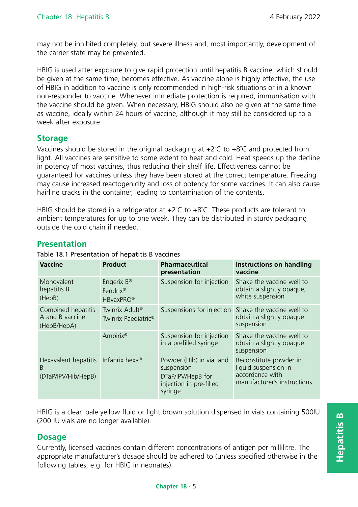may not be inhibited completely, but severe illness and, most importantly, development of the carrier state may be prevented.

HBIG is used after exposure to give rapid protection until hepatitis B vaccine, which should be given at the same time, becomes effective. As vaccine alone is highly effective, the use of HBIG in addition to vaccine is only recommended in high-risk situations or in a known non-responder to vaccine. Whenever immediate protection is required, immunisation with the vaccine should be given. When necessary, HBIG should also be given at the same time as vaccine, ideally within 24 hours of vaccine, although it may still be considered up to a week after exposure.

## **Storage**

Vaccines should be stored in the original packaging at  $+2^{\circ}C$  to  $+8^{\circ}C$  and protected from light. All vaccines are sensitive to some extent to heat and cold. Heat speeds up the decline in potency of most vaccines, thus reducing their shelf life. Effectiveness cannot be guaranteed for vaccines unless they have been stored at the correct temperature. Freezing may cause increased reactogenicity and loss of potency for some vaccines. It can also cause hairline cracks in the container, leading to contamination of the contents.

HBIG should be stored in a refrigerator at  $+2^{\circ}C$  to  $+8^{\circ}C$ . These products are tolerant to ambient temperatures for up to one week. They can be distributed in sturdy packaging outside the cold chain if needed.

# **Presentation**

| <b>Vaccine</b>                                       | <b>Product</b>                                                     | Pharmaceutical<br>presentation                                                                    | <b>Instructions on handling</b><br>vaccine                                                       |
|------------------------------------------------------|--------------------------------------------------------------------|---------------------------------------------------------------------------------------------------|--------------------------------------------------------------------------------------------------|
| Monovalent<br>hepatitis B<br>(HepB)                  | Engerix B <sup>®</sup><br>Fendrix <sup>®</sup><br><b>HBvaxPRO®</b> | Suspension for injection                                                                          | Shake the vaccine well to<br>obtain a slightly opaque,<br>white suspension                       |
| Combined hepatitis<br>A and B vaccine<br>(HepB/HepA) | Twinrix Adult <sup>®</sup><br>Twinrix Paediatric <sup>®</sup>      | Suspensions for injection                                                                         | Shake the vaccine well to<br>obtain a slightly opaque<br>suspension                              |
|                                                      | Ambirix®                                                           | Suspension for injection<br>in a prefilled syringe                                                | Shake the vaccine well to<br>obtain a slightly opaque<br>suspension                              |
| Hexavalent hepatitis<br>B<br>(DTaP/IPV/Hib/HepB)     | Infanrix hexa <sup>®</sup>                                         | Powder (Hib) in vial and<br>suspension<br>DTaP/IPV/HepB for<br>injection in pre-filled<br>syringe | Reconstitute powder in<br>liquid suspension in<br>accordance with<br>manufacturer's instructions |

#### Table 18.1 Presentation of hepatitis B vaccines

HBIG is a clear, pale yellow fluid or light brown solution dispensed in vials containing 500IU (200 IU vials are no longer available).

## **Dosage**

Currently, licensed vaccines contain different concentrations of antigen per millilitre. The appropriate manufacturer's dosage should be adhered to (unless specified otherwise in the following tables, e.g. for HBIG in neonates).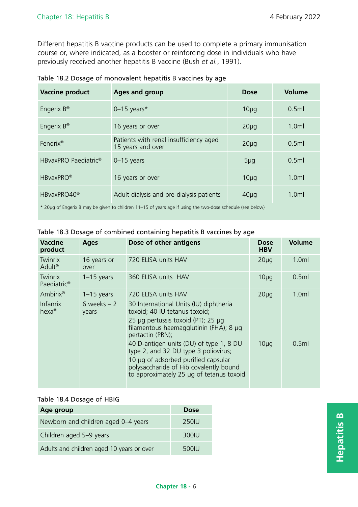Different hepatitis B vaccine products can be used to complete a primary immunisation course or, where indicated, as a booster or reinforcing dose in individuals who have previously received another hepatitis B vaccine (Bush *et al.*, 1991).

| <b>Vaccine product</b>  | Ages and group                                                                                             | <b>Dose</b> | Volume           |
|-------------------------|------------------------------------------------------------------------------------------------------------|-------------|------------------|
| Engerix B <sup>®</sup>  | $0-15$ years*                                                                                              | $10\muq$    | 0.5ml            |
| Engerix B <sup>®</sup>  | 16 years or over                                                                                           | $20\muq$    | 1.0 <sub>m</sub> |
| Fendrix <sup>®</sup>    | Patients with renal insufficiency aged<br>15 years and over                                                | $20\muq$    | 0.5ml            |
| HBvaxPRO Paediatric®    | $0-15$ years                                                                                               | $5\muq$     | 0.5ml            |
| <b>HBvaxPRO®</b>        | 16 years or over                                                                                           | $10\muq$    | 1.0 <sub>m</sub> |
| HBvaxPRO40 <sup>®</sup> | Adult dialysis and pre-dialysis patients                                                                   | $40\muq$    | 1.0 <sub>m</sub> |
|                         | * 20µg of Engerix B may be given to children 11-15 of years age if using the two-dose schedule (see below) |             |                  |

Table 18.2 Dosage of monovalent hepatitis B vaccines by age

| Table 18.3 Dosage of combined containing hepatitis B vaccines by age |  |  |  |
|----------------------------------------------------------------------|--|--|--|
|----------------------------------------------------------------------|--|--|--|

| <b>Vaccine</b><br>product                 | <b>Ages</b>           | Dose of other antigens                                                                                                                                                                                                                                                                                                                                                                      | <b>Dose</b><br><b>HBV</b> | <b>Volume</b>    |
|-------------------------------------------|-----------------------|---------------------------------------------------------------------------------------------------------------------------------------------------------------------------------------------------------------------------------------------------------------------------------------------------------------------------------------------------------------------------------------------|---------------------------|------------------|
| Twinrix<br>Adult <sup>®</sup>             | 16 years or<br>over   | 720 ELISA units HAV                                                                                                                                                                                                                                                                                                                                                                         | $20\muq$                  | 1.0 <sub>m</sub> |
| <b>Twinrix</b><br>Paediatric <sup>®</sup> | $1-15$ years          | 360 ELISA units HAV                                                                                                                                                                                                                                                                                                                                                                         | $10\muq$                  | 0.5ml            |
| Ambirix <sup>®</sup>                      | $1-15$ years          | 720 ELISA units HAV                                                                                                                                                                                                                                                                                                                                                                         | $20\muq$                  | 1.0 <sub>m</sub> |
| <b>Infanrix</b><br>$hexa^{\circledR}$     | 6 weeks $-2$<br>years | 30 International Units (IU) diphtheria<br>toxoid; 40 IU tetanus toxoid;<br>25 µg pertussis toxoid (PT); 25 µg<br>filamentous haemagglutinin (FHA); 8 µg<br>pertactin (PRN);<br>40 D-antigen units (DU) of type 1, 8 DU<br>type 2, and 32 DU type 3 poliovirus;<br>10 µg of adsorbed purified capsular<br>polysaccharide of Hib covalently bound<br>to approximately 25 µg of tetanus toxoid | $10\muq$                  | 0.5ml            |

#### Table 18.4 Dosage of HBIG

| Age group                                 | <b>Dose</b> |
|-------------------------------------------|-------------|
| Newborn and children aged 0-4 years       | 250IU       |
| Children aged 5-9 years                   | 300IU       |
| Adults and children aged 10 years or over | 500IU       |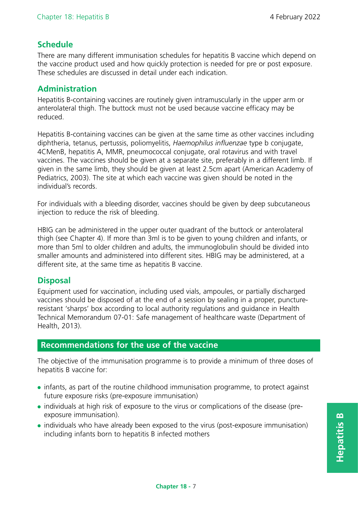# **Schedule**

There are many different immunisation schedules for hepatitis B vaccine which depend on the vaccine product used and how quickly protection is needed for pre or post exposure. These schedules are discussed in detail under each indication.

# **Administration**

Hepatitis B-containing vaccines are routinely given intramuscularly in the upper arm or anterolateral thigh. The buttock must not be used because vaccine efficacy may be reduced.

Hepatitis B-containing vaccines can be given at the same time as other vaccines including diphtheria, tetanus, pertussis, poliomyelitis, *Haemophilus influenzae* type b conjugate, 4CMenB, hepatitis A, MMR, pneumococcal conjugate, oral rotavirus and with travel vaccines. The vaccines should be given at a separate site, preferably in a different limb. If given in the same limb, they should be given at least 2.5cm apart (American Academy of Pediatrics, 2003). The site at which each vaccine was given should be noted in the individual's records.

For individuals with a bleeding disorder, vaccines should be given by deep subcutaneous injection to reduce the risk of bleeding.

HBIG can be administered in the upper outer quadrant of the buttock or anterolateral thigh (see Chapter 4). If more than 3ml is to be given to young children and infants, or more than 5ml to older children and adults, the immunoglobulin should be divided into smaller amounts and administered into different sites. HBIG may be administered, at a different site, at the same time as hepatitis B vaccine.

# **Disposal**

Equipment used for vaccination, including used vials, ampoules, or partially discharged vaccines should be disposed of at the end of a session by sealing in a proper, punctureresistant 'sharps' box according to local authority regulations and guidance in Health Technical Memorandum 07-01: Safe management of healthcare waste (Department of Health, 2013).

# **Recommendations for the use of the vaccine**

The objective of the immunisation programme is to provide a minimum of three doses of hepatitis B vaccine for:

- infants, as part of the routine childhood immunisation programme, to protect against future exposure risks (pre-exposure immunisation)
- individuals at high risk of exposure to the virus or complications of the disease (preexposure immunisation).
- individuals who have already been exposed to the virus (post-exposure immunisation) including infants born to hepatitis B infected mothers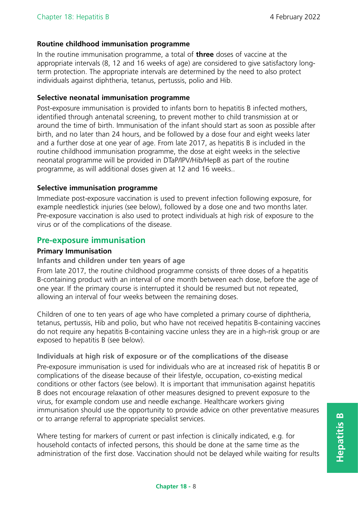### **Routine childhood immunisation programme**

In the routine immunisation programme, a total of **three** doses of vaccine at the appropriate intervals (8, 12 and 16 weeks of age) are considered to give satisfactory longterm protection. The appropriate intervals are determined by the need to also protect individuals against diphtheria, tetanus, pertussis, polio and Hib.

### **Selective neonatal immunisation programme**

Post-exposure immunisation is provided to infants born to hepatitis B infected mothers, identified through antenatal screening, to prevent mother to child transmission at or around the time of birth. Immunisation of the infant should start as soon as possible after birth, and no later than 24 hours, and be followed by a dose four and eight weeks later and a further dose at one year of age. From late 2017, as hepatitis B is included in the routine childhood immunisation programme, the dose at eight weeks in the selective neonatal programme will be provided in DTaP/IPV/Hib/HepB as part of the routine programme, as will additional doses given at 12 and 16 weeks..

### **Selective immunisation programme**

Immediate post-exposure vaccination is used to prevent infection following exposure, for example needlestick injuries (see below), followed by a dose one and two months later. Pre-exposure vaccination is also used to protect individuals at high risk of exposure to the virus or of the complications of the disease.

## **Pre-exposure immunisation**

#### **Primary Immunisation**

#### **Infants and children under ten years of age**

From late 2017, the routine childhood programme consists of three doses of a hepatitis B-containing product with an interval of one month between each dose, before the age of one year. If the primary course is interrupted it should be resumed but not repeated, allowing an interval of four weeks between the remaining doses.

Children of one to ten years of age who have completed a primary course of diphtheria, tetanus, pertussis, Hib and polio, but who have not received hepatitis B-containing vaccines do not require any hepatitis B-containing vaccine unless they are in a high-risk group or are exposed to hepatitis B (see below).

### **Individuals at high risk of exposure or of the complications of the disease**

Pre-exposure immunisation is used for individuals who are at increased risk of hepatitis B or complications of the disease because of their lifestyle, occupation, co-existing medical conditions or other factors (see below). It is important that immunisation against hepatitis B does not encourage relaxation of other measures designed to prevent exposure to the virus, for example condom use and needle exchange. Healthcare workers giving immunisation should use the opportunity to provide advice on other preventative measures or to arrange referral to appropriate specialist services.

Where testing for markers of current or past infection is clinically indicated, e.g. for household contacts of infected persons, this should be done at the same time as the administration of the first dose. Vaccination should not be delayed while waiting for results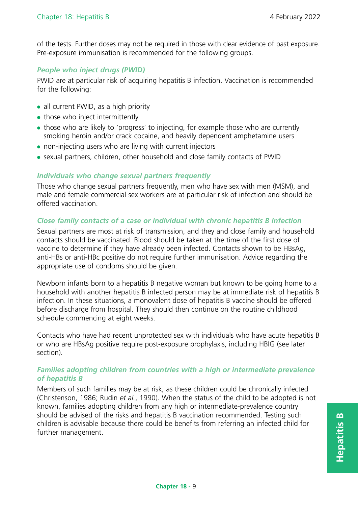of the tests. Further doses may not be required in those with clear evidence of past exposure. Pre-exposure immunisation is recommended for the following groups.

### *People who inject drugs (PWID)*

PWID are at particular risk of acquiring hepatitis B infection. Vaccination is recommended for the following:

- all current PWID, as a high priority
- those who inject intermittently
- those who are likely to 'progress' to injecting, for example those who are currently smoking heroin and/or crack cocaine, and heavily dependent amphetamine users
- non-injecting users who are living with current injectors
- sexual partners, children, other household and close family contacts of PWID

## *Individuals who change sexual partners frequently*

Those who change sexual partners frequently, men who have sex with men (MSM), and male and female commercial sex workers are at particular risk of infection and should be offered vaccination.

## *Close family contacts of a case or individual with chronic hepatitis B infection*

Sexual partners are most at risk of transmission, and they and close family and household contacts should be vaccinated. Blood should be taken at the time of the first dose of vaccine to determine if they have already been infected. Contacts shown to be HBsAg, anti-HBs or anti-HBc positive do not require further immunisation. Advice regarding the appropriate use of condoms should be given.

Newborn infants born to a hepatitis B negative woman but known to be going home to a household with another hepatitis B infected person may be at immediate risk of hepatitis B infection. In these situations, a monovalent dose of hepatitis B vaccine should be offered before discharge from hospital. They should then continue on the routine childhood schedule commencing at eight weeks.

Contacts who have had recent unprotected sex with individuals who have acute hepatitis B or who are HBsAg positive require post-exposure prophylaxis, including HBIG (see later section).

### *Families adopting children from countries with a high or intermediate prevalence of hepatitis B*

Members of such families may be at risk, as these children could be chronically infected (Christenson, 1986; Rudin *et al.*, 1990). When the status of the child to be adopted is not known, families adopting children from any high or intermediate-prevalence country should be advised of the risks and hepatitis B vaccination recommended. Testing such children is advisable because there could be benefits from referring an infected child for further management.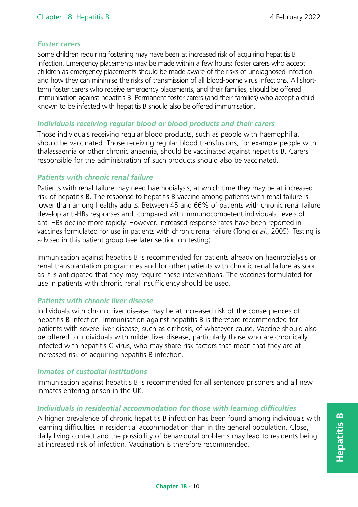### *Foster carers*

Some children requiring fostering may have been at increased risk of acquiring hepatitis B infection. Emergency placements may be made within a few hours: foster carers who accept children as emergency placements should be made aware of the risks of undiagnosed infection and how they can minimise the risks of transmission of all blood-borne virus infections. All shortterm foster carers who receive emergency placements, and their families, should be offered immunisation against hepatitis B. Permanent foster carers (and their families) who accept a child known to be infected with hepatitis B should also be offered immunisation.

### *Individuals receiving regular blood or blood products and their carers*

Those individuals receiving regular blood products, such as people with haemophilia, should be vaccinated. Those receiving regular blood transfusions, for example people with thalassaemia or other chronic anaemia, should be vaccinated against hepatitis B. Carers responsible for the administration of such products should also be vaccinated.

## *Patients with chronic renal failure*

Patients with renal failure may need haemodialysis, at which time they may be at increased risk of hepatitis B. The response to hepatitis B vaccine among patients with renal failure is lower than among healthy adults. Between 45 and 66% of patients with chronic renal failure develop anti-HBs responses and, compared with immunocompetent individuals, levels of anti-HBs decline more rapidly. However, increased response rates have been reported in vaccines formulated for use in patients with chronic renal failure (Tong *et al*., 2005). Testing is advised in this patient group (see later section on testing).

Immunisation against hepatitis B is recommended for patients already on haemodialysis or renal transplantation programmes and for other patients with chronic renal failure as soon as it is anticipated that they may require these interventions. The vaccines formulated for use in patients with chronic renal insufficiency should be used.

### *Patients with chronic liver disease*

Individuals with chronic liver disease may be at increased risk of the consequences of hepatitis B infection. Immunisation against hepatitis B is therefore recommended for patients with severe liver disease, such as cirrhosis, of whatever cause. Vaccine should also be offered to individuals with milder liver disease, particularly those who are chronically infected with hepatitis C virus, who may share risk factors that mean that they are at increased risk of acquiring hepatitis B infection.

### *Inmates of custodial institutions*

Immunisation against hepatitis B is recommended for all sentenced prisoners and all new inmates entering prison in the UK.

### *Individuals in residential accommodation for those with learning difficulties*

A higher prevalence of chronic hepatitis B infection has been found among individuals with learning difficulties in residential accommodation than in the general population. Close, daily living contact and the possibility of behavioural problems may lead to residents being at increased risk of infection. Vaccination is therefore recommended.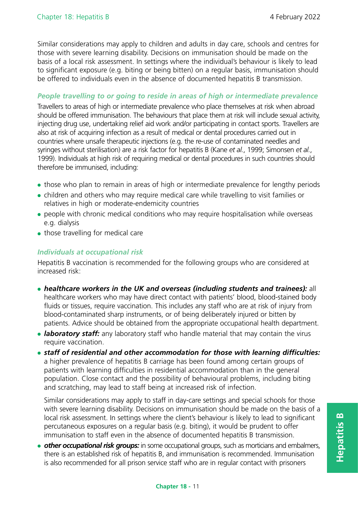Similar considerations may apply to children and adults in day care, schools and centres for those with severe learning disability. Decisions on immunisation should be made on the basis of a local risk assessment. In settings where the individual's behaviour is likely to lead to significant exposure (e.g. biting or being bitten) on a regular basis, immunisation should be offered to individuals even in the absence of documented hepatitis B transmission.

### *People travelling to or going to reside in areas of high or intermediate prevalence*

Travellers to areas of high or intermediate prevalence who place themselves at risk when abroad should be offered immunisation. The behaviours that place them at risk will include sexual activity, injecting drug use, undertaking relief aid work and/or participating in contact sports. Travellers are also at risk of acquiring infection as a result of medical or dental procedures carried out in countries where unsafe therapeutic injections (e.g. the re-use of contaminated needles and syringes without sterilisation) are a risk factor for hepatitis B (Kane *et al.*, 1999; Simonsen *et al.*, 1999). Individuals at high risk of requiring medical or dental procedures in such countries should therefore be immunised, including:

- those who plan to remain in areas of high or intermediate prevalence for lengthy periods
- children and others who may require medical care while travelling to visit families or relatives in high or moderate-endemicity countries
- people with chronic medical conditions who may require hospitalisation while overseas e.g. dialysis
- those travelling for medical care

### *Individuals at occupational risk*

Hepatitis B vaccination is recommended for the following groups who are considered at increased risk:

- *healthcare workers in the UK and overseas (including students and trainees):* all healthcare workers who may have direct contact with patients' blood, blood-stained body fluids or tissues, require vaccination. This includes any staff who are at risk of injury from blood-contaminated sharp instruments, or of being deliberately injured or bitten by patients. Advice should be obtained from the appropriate occupational health department.
- *laboratory staff:* any laboratory staff who handle material that may contain the virus require vaccination.
- *staff of residential and other accommodation for those with learning difficulties:* a higher prevalence of hepatitis B carriage has been found among certain groups of patients with learning difficulties in residential accommodation than in the general population. Close contact and the possibility of behavioural problems, including biting and scratching, may lead to staff being at increased risk of infection.

Similar considerations may apply to staff in day-care settings and special schools for those with severe learning disability. Decisions on immunisation should be made on the basis of a local risk assessment. In settings where the client's behaviour is likely to lead to significant percutaneous exposures on a regular basis (e.g. biting), it would be prudent to offer immunisation to staff even in the absence of documented hepatitis B transmission.

**• other occupational risk groups:** in some occupational groups, such as morticians and embalmers, there is an established risk of hepatitis B, and immunisation is recommended. Immunisation is also recommended for all prison service staff who are in regular contact with prisoners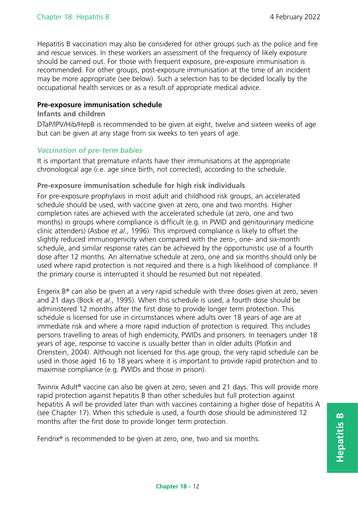Hepatitis B vaccination may also be considered for other groups such as the police and fire and rescue services. In these workers an assessment of the frequency of likely exposure should be carried out. For those with frequent exposure, pre-exposure immunisation is recommended. For other groups, post-exposure immunisation at the time of an incident may be more appropriate (see below). Such a selection has to be decided locally by the occupational health services or as a result of appropriate medical advice.

#### **Pre-exposure immunisation schedule**

#### **Infants and children**

DTaP/IPV/Hib/HepB is recommended to be given at eight, twelve and sixteen weeks of age but can be given at any stage from six weeks to ten years of age.

#### *Vaccination of pre-term babies*

It is important that premature infants have their immunisations at the appropriate chronological age (i.e. age since birth, not corrected), according to the schedule.

#### **Pre-exposure immunisation schedule for high risk individuals**

For pre-exposure prophylaxis in most adult and childhood risk groups, an accelerated schedule should be used, with vaccine given at zero, one and two months. Higher completion rates are achieved with the accelerated schedule (at zero, one and two months) in groups where compliance is difficult (e.g. in PWID and genitourinary medicine clinic attenders) (Asboe *et al*., 1996). This improved compliance is likely to offset the slightly reduced immunogenicity when compared with the zero-, one- and six-month schedule, and similar response rates can be achieved by the opportunistic use of a fourth dose after 12 months. An alternative schedule at zero, one and six months should only be used where rapid protection is not required and there is a high likelihood of compliance. If the primary course is interrupted it should be resumed but not repeated.

Engerix  $B<sup>®</sup>$  can also be given at a very rapid schedule with three doses given at zero, seven and 21 days (Bock *et al*., 1995). When this schedule is used, a fourth dose should be administered 12 months after the first dose to provide longer term protection. This schedule is licensed for use in circumstances where adults over 18 years of age are at immediate risk and where a more rapid induction of protection is required. This includes persons travelling to areas of high endemicity, PWIDs and prisoners. In teenagers under 18 years of age, response to vaccine is usually better than in older adults (Plotkin and Orenstein, 2004). Although not licensed for this age group, the very rapid schedule can be used in those aged 16 to 18 years where it is important to provide rapid protection and to maximise compliance (e.g. PWIDs and those in prison).

Twinrix Adult® vaccine can also be given at zero, seven and 21 days. This will provide more rapid protection against hepatitis B than other schedules but full protection against hepatitis A will be provided later than with vaccines containing a higher dose of hepatitis A (see Chapter 17). When this schedule is used, a fourth dose should be administered 12 months after the first dose to provide longer term protection.

Fendrix® is recommended to be given at zero, one, two and six months.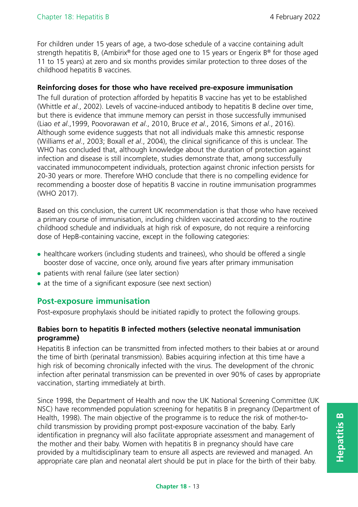For children under 15 years of age, a two-dose schedule of a vaccine containing adult strength hepatitis B, (Ambirix® for those aged one to 15 years or Engerix B® for those aged 11 to 15 years) at zero and six months provides similar protection to three doses of the childhood hepatitis B vaccines.

### **Reinforcing doses for those who have received pre-exposure immunisation**

The full duration of protection afforded by hepatitis B vaccine has yet to be established (Whittle *et al*., 2002). Levels of vaccine-induced antibody to hepatitis B decline over time, but there is evidence that immune memory can persist in those successfully immunised (Liao *et al*.,1999, Poovorawan *et al*., 2010, Bruce *et al*., 2016, Simons *et al*., 2016). Although some evidence suggests that not all individuals make this amnestic response (Williams *et al*., 2003; Boxall *et al*., 2004), the clinical significance of this is unclear. The WHO has concluded that, although knowledge about the duration of protection against infection and disease is still incomplete, studies demonstrate that, among successfully vaccinated immunocompetent individuals, protection against chronic infection persists for 20-30 years or more. Therefore WHO conclude that there is no compelling evidence for recommending a booster dose of hepatitis B vaccine in routine immunisation programmes (WHO 2017).

Based on this conclusion, the current UK recommendation is that those who have received a primary course of immunisation, including children vaccinated according to the routine childhood schedule and individuals at high risk of exposure, do not require a reinforcing dose of HepB-containing vaccine, except in the following categories:

- healthcare workers (including students and trainees), who should be offered a single booster dose of vaccine, once only, around five years after primary immunisation
- patients with renal failure (see later section)
- at the time of a significant exposure (see next section)

## **Post-exposure immunisation**

Post-exposure prophylaxis should be initiated rapidly to protect the following groups.

### **Babies born to hepatitis B infected mothers (selective neonatal immunisation programme)**

Hepatitis B infection can be transmitted from infected mothers to their babies at or around the time of birth (perinatal transmission). Babies acquiring infection at this time have a high risk of becoming chronically infected with the virus. The development of the chronic infection after perinatal transmission can be prevented in over 90% of cases by appropriate vaccination, starting immediately at birth.

Since 1998, the Department of Health and now the UK National Screening Committee (UK NSC) have recommended population screening for hepatitis B in pregnancy (Department of Health, 1998). The main objective of the programme is to reduce the risk of mother-tochild transmission by providing prompt post-exposure vaccination of the baby. Early identification in pregnancy will also facilitate appropriate assessment and management of the mother and their baby. Women with hepatitis B in pregnancy should have care provided by a multidisciplinary team to ensure all aspects are reviewed and managed. An appropriate care plan and neonatal alert should be put in place for the birth of their baby.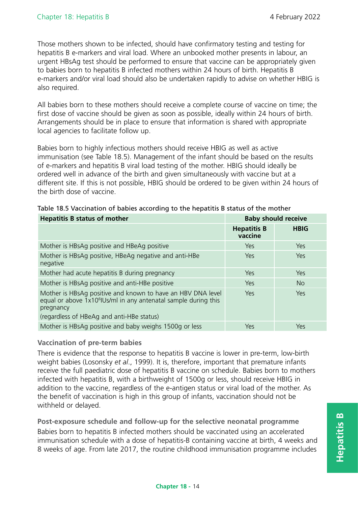Those mothers shown to be infected, should have confirmatory testing and testing for hepatitis B e-markers and viral load. Where an unbooked mother presents in labour, an urgent HBsAg test should be performed to ensure that vaccine can be appropriately given to babies born to hepatitis B infected mothers within 24 hours of birth. Hepatitis B e-markers and/or viral load should also be undertaken rapidly to advise on whether HBIG is also required.

All babies born to these mothers should receive a complete course of vaccine on time; the first dose of vaccine should be given as soon as possible, ideally within 24 hours of birth. Arrangements should be in place to ensure that information is shared with appropriate local agencies to facilitate follow up.

Babies born to highly infectious mothers should receive HBIG as well as active immunisation (see Table 18.5). Management of the infant should be based on the results of e-markers and hepatitis B viral load testing of the mother. HBIG should ideally be ordered well in advance of the birth and given simultaneously with vaccine but at a different site. If this is not possible, HBIG should be ordered to be given within 24 hours of the birth dose of vaccine.

| <b>Hepatitis B status of mother</b>                                                                                                                                                                  |                               | <b>Baby should receive</b> |
|------------------------------------------------------------------------------------------------------------------------------------------------------------------------------------------------------|-------------------------------|----------------------------|
|                                                                                                                                                                                                      | <b>Hepatitis B</b><br>vaccine | <b>HBIG</b>                |
| Mother is HBsAg positive and HBeAg positive                                                                                                                                                          | Yes                           | Yes                        |
| Mother is HBsAg positive, HBeAg negative and anti-HBe<br>negative                                                                                                                                    | Yes                           | Yes                        |
| Mother had acute hepatitis B during pregnancy                                                                                                                                                        | <b>Yes</b>                    | <b>Yes</b>                 |
| Mother is HBsAg positive and anti-HBe positive                                                                                                                                                       | Yes                           | No.                        |
| Mother is HBsAg positive and known to have an HBV DNA level<br>equal or above 1x10 <sup>6</sup> IUs/ml in any antenatal sample during this<br>pregnancy<br>(regardless of HBeAg and anti-HBe status) | Yes                           | Yes                        |
| Mother is HBsAg positive and baby weighs 1500g or less                                                                                                                                               | Yes                           | Yes                        |

# Table 18.5 Vaccination of babies according to the hepatitis B status of the mother

#### **Vaccination of pre-term babies**

There is evidence that the response to hepatitis B vaccine is lower in pre-term, low-birth weight babies (Losonsky *et al*., 1999). It is, therefore, important that premature infants receive the full paediatric dose of hepatitis B vaccine on schedule. Babies born to mothers infected with hepatitis B, with a birthweight of 1500g or less, should receive HBIG in addition to the vaccine, regardless of the e-antigen status or viral load of the mother. As the benefit of vaccination is high in this group of infants, vaccination should not be withheld or delayed.

**Post-exposure schedule and follow-up for the selective neonatal programme** 

Babies born to hepatitis B infected mothers should be vaccinated using an accelerated immunisation schedule with a dose of hepatitis-B containing vaccine at birth, 4 weeks and 8 weeks of age. From late 2017, the routine childhood immunisation programme includes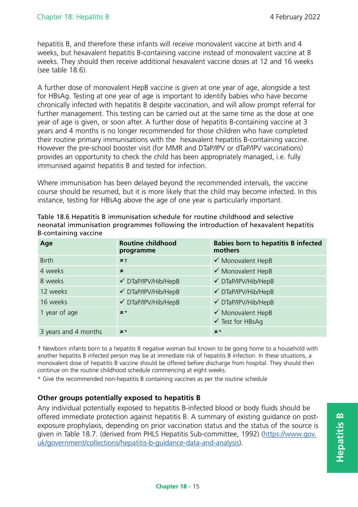hepatitis B, and therefore these infants will receive monovalent vaccine at birth and 4 weeks, but hexavalent hepatitis B-containing vaccine instead of monovalent vaccine at 8 weeks. They should then receive additional hexavalent vaccine doses at 12 and 16 weeks (see table 18.6).

A further dose of monovalent HepB vaccine is given at one year of age, alongside a test for HBsAg. Testing at one year of age is important to identify babies who have become chronically infected with hepatitis B despite vaccination, and will allow prompt referral for further management. This testing can be carried out at the same time as the dose at one year of age is given, or soon after. A further dose of hepatitis B-containing vaccine at 3 years and 4 months is no longer recommended for those children who have completed their routine primary immunisations with the hexavalent hepatitis B-containing vaccine. However the pre-school booster visit (for MMR and DTaP/IPV or dTaP/IPV vaccinations) provides an opportunity to check the child has been appropriately managed, i.e. fully immunised against hepatitis B and tested for infection.

Where immunisation has been delayed beyond the recommended intervals, the vaccine course should be resumed, but it is more likely that the child may become infected. In this instance, testing for HBsAg above the age of one year is particularly important.

| Age                  | <b>Routine childhood</b><br>programme | <b>Babies born to hepatitis B infected</b><br>mothers       |
|----------------------|---------------------------------------|-------------------------------------------------------------|
| <b>Birth</b>         | $x +$                                 | $\checkmark$ Monovalent HepB                                |
| 4 weeks              | $\boldsymbol{\mathsf{x}}$             | $\checkmark$ Monovalent HepB                                |
| 8 weeks              | ✔ DTaP/IPV/Hib/HepB                   | ✔ DTaP/IPV/Hib/HepB                                         |
| 12 weeks             | ✔ DTaP/IPV/Hib/HepB                   | ✔ DTaP/IPV/Hib/HepB                                         |
| 16 weeks             | ✔ DTaP/IPV/Hib/HepB                   | ✔ DTaP/IPV/Hib/HepB                                         |
| 1 year of age        | $x^*$                                 | $\checkmark$ Monovalent HepB<br>$\checkmark$ Test for HBsAq |
| 3 years and 4 months | $x^*$                                 | $x^{\star}$                                                 |

Table 18.6 Hepatitis B immunisation schedule for routine childhood and selective neonatal immunisation programmes following the introduction of hexavalent hepatitis B-containing vaccine

† Newborn infants born to a hepatitis B negative woman but known to be going home to a household with another hepatitis B infected person may be at immediate risk of hepatitis B infection. In these situations, a monovalent dose of hepatitis B vaccine should be offered before discharge from hospital. They should then continue on the routine childhood schedule commencing at eight weeks.

\* Give the recommended non-hepatitis B containing vaccines as per the routine schedule

### **Other groups potentially exposed to hepatitis B**

Any individual potentially exposed to hepatitis B-infected blood or body fluids should be offered immediate protection against hepatitis B. A summary of existing guidance on postexposure prophylaxis, depending on prior vaccination status and the status of the source is given in Table 18.7. (derived from PHLS Hepatitis Sub-committee, 1992) [\(https://www.gov.](https://www.gov.uk/government/collections/hepatitis-b-guidance-data-and-analysis) [uk/government/collections/hepatitis-b-guidance-data-and-analysis\)](https://www.gov.uk/government/collections/hepatitis-b-guidance-data-and-analysis).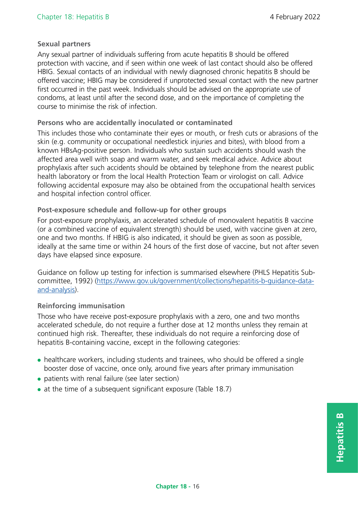#### **Sexual partners**

Any sexual partner of individuals suffering from acute hepatitis B should be offered protection with vaccine, and if seen within one week of last contact should also be offered HBIG. Sexual contacts of an individual with newly diagnosed chronic hepatitis B should be offered vaccine; HBIG may be considered if unprotected sexual contact with the new partner first occurred in the past week. Individuals should be advised on the appropriate use of condoms, at least until after the second dose, and on the importance of completing the course to minimise the risk of infection.

#### **Persons who are accidentally inoculated or contaminated**

This includes those who contaminate their eyes or mouth, or fresh cuts or abrasions of the skin (e.g. community or occupational needlestick injuries and bites), with blood from a known HBsAg-positive person. Individuals who sustain such accidents should wash the affected area well with soap and warm water, and seek medical advice. Advice about prophylaxis after such accidents should be obtained by telephone from the nearest public health laboratory or from the local Health Protection Team or virologist on call. Advice following accidental exposure may also be obtained from the occupational health services and hospital infection control officer.

### **Post-exposure schedule and follow-up for other groups**

For post-exposure prophylaxis, an accelerated schedule of monovalent hepatitis B vaccine (or a combined vaccine of equivalent strength) should be used, with vaccine given at zero, one and two months. If HBIG is also indicated, it should be given as soon as possible, ideally at the same time or within 24 hours of the first dose of vaccine, but not after seven days have elapsed since exposure.

Guidance on follow up testing for infection is summarised elsewhere (PHLS Hepatitis Subcommittee, 1992) [\(https://www.gov.uk/government/collections/hepatitis-b-guidance-data](https://www.gov.uk/government/collections/hepatitis-b-guidance-data-and-analysis)[and-analysis](https://www.gov.uk/government/collections/hepatitis-b-guidance-data-and-analysis)).

#### **Reinforcing immunisation**

Those who have receive post-exposure prophylaxis with a zero, one and two months accelerated schedule, do not require a further dose at 12 months unless they remain at continued high risk. Thereafter, these individuals do not require a reinforcing dose of hepatitis B-containing vaccine, except in the following categories:

- healthcare workers, including students and trainees, who should be offered a single booster dose of vaccine, once only, around five years after primary immunisation
- patients with renal failure (see later section)
- $\bullet$  at the time of a subsequent significant exposure (Table 18.7)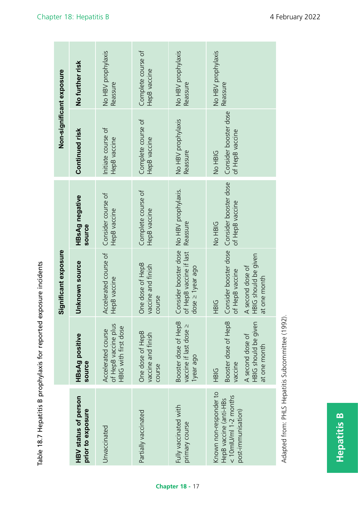| Table 18.7 Hepatitis B prophylaxis for reported                                                         |                                                                                                            | exposure incidents                                                                                                  |                                                     |                                                     |                                    |
|---------------------------------------------------------------------------------------------------------|------------------------------------------------------------------------------------------------------------|---------------------------------------------------------------------------------------------------------------------|-----------------------------------------------------|-----------------------------------------------------|------------------------------------|
|                                                                                                         |                                                                                                            | Significant exposure                                                                                                |                                                     | Non-significant exposure                            |                                    |
| <b>HBV status of person</b><br>prior to exposure                                                        | HBsAg positive<br>source                                                                                   | Unknown source                                                                                                      | HBsAg negative<br>source                            | <b>Continued risk</b>                               | No further risk                    |
| Unvaccinated                                                                                            | of HepB vaccine plus<br>HBIG with first dose<br>Accelerated course                                         | Accelerated course of<br>HepB vaccine                                                                               | Consider course of<br>HepB vaccine                  | Initiate course of<br>HepB vaccine                  | No HBV prophylaxis<br>Reassure     |
| Partially vaccinated                                                                                    | One dose of HepB<br>vaccine and finish<br>course                                                           | One dose of HepB<br>vaccine and finish<br>course                                                                    | Complete course of<br>HepB vaccine                  | Complete course of<br>HepB vaccine                  | Complete course of<br>HepB vaccine |
| Fully vaccinated with<br>primary course                                                                 | Booster dose of HepB<br>vaccine if last dose ≥<br>1year ago                                                | Consider booster dose<br>of HepB vaccine if last<br>$dose \geq 1$ year ago                                          | No HBV prophylaxis.<br>Reassure                     | No HBV prophylaxis<br>Reassure                      | No HBV prophylaxis<br>Reassure     |
| Known non-responder to<br>$< 10$ ml $U$ m $1$ -2 months<br>HepB vaccine (anti-HBs<br>post-immunisation) | Booster dose of HepB<br>HBIG should be given<br>A second dose of<br>at one month<br>vaccine<br><b>HBIG</b> | Consider booster dose<br>HBIG should be given<br>A second dose of<br>of HepB vaccine<br>at one month<br><b>HBIG</b> | Consider booster dose<br>of HepB vaccine<br>No HBIG | Consider booster dose<br>of HepB vaccine<br>No HBIG | No HBV prophylaxis<br>Reassure     |
| Adapted from: PHLS Hepatitis Subcommittee (1992                                                         |                                                                                                            |                                                                                                                     |                                                     |                                                     |                                    |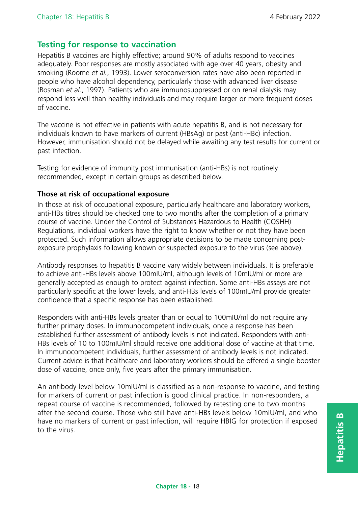## **Testing for response to vaccination**

Hepatitis B vaccines are highly effective; around 90% of adults respond to vaccines adequately. Poor responses are mostly associated with age over 40 years, obesity and smoking (Roome *et al.*, 1993). Lower seroconversion rates have also been reported in people who have alcohol dependency, particularly those with advanced liver disease (Rosman *et al.*, 1997). Patients who are immunosuppressed or on renal dialysis may respond less well than healthy individuals and may require larger or more frequent doses of vaccine.

The vaccine is not effective in patients with acute hepatitis B, and is not necessary for individuals known to have markers of current (HBsAg) or past (anti-HBc) infection. However, immunisation should not be delayed while awaiting any test results for current or past infection.

Testing for evidence of immunity post immunisation (anti-HBs) is not routinely recommended, except in certain groups as described below.

#### **Those at risk of occupational exposure**

In those at risk of occupational exposure, particularly healthcare and laboratory workers, anti-HBs titres should be checked one to two months after the completion of a primary course of vaccine. Under the Control of Substances Hazardous to Health (COSHH) Regulations, individual workers have the right to know whether or not they have been protected. Such information allows appropriate decisions to be made concerning postexposure prophylaxis following known or suspected exposure to the virus (see above).

Antibody responses to hepatitis B vaccine vary widely between individuals. It is preferable to achieve anti-HBs levels above 100mIU/ml, although levels of 10mIU/ml or more are generally accepted as enough to protect against infection. Some anti-HBs assays are not particularly specific at the lower levels, and anti-HBs levels of 100mIU/ml provide greater confidence that a specific response has been established.

Responders with anti-HBs levels greater than or equal to 100mIU/ml do not require any further primary doses. In immunocompetent individuals, once a response has been established further assessment of antibody levels is not indicated. Responders with anti-HBs levels of 10 to 100mIU/ml should receive one additional dose of vaccine at that time. In immunocompetent individuals, further assessment of antibody levels is not indicated. Current advice is that healthcare and laboratory workers should be offered a single booster dose of vaccine, once only, five years after the primary immunisation.

An antibody level below 10mIU/ml is classified as a non-response to vaccine, and testing for markers of current or past infection is good clinical practice. In non-responders, a repeat course of vaccine is recommended, followed by retesting one to two months after the second course. Those who still have anti-HBs levels below 10mIU/ml, and who have no markers of current or past infection, will require HBIG for protection if exposed to the virus.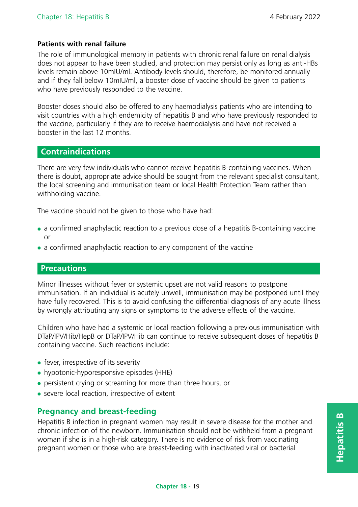### **Patients with renal failure**

The role of immunological memory in patients with chronic renal failure on renal dialysis does not appear to have been studied, and protection may persist only as long as anti-HBs levels remain above 10mIU/ml. Antibody levels should, therefore, be monitored annually and if they fall below 10mIU/ml, a booster dose of vaccine should be given to patients who have previously responded to the vaccine.

Booster doses should also be offered to any haemodialysis patients who are intending to visit countries with a high endemicity of hepatitis B and who have previously responded to the vaccine, particularly if they are to receive haemodialysis and have not received a booster in the last 12 months.

### **Contraindications**

There are very few individuals who cannot receive hepatitis B-containing vaccines. When there is doubt, appropriate advice should be sought from the relevant specialist consultant, the local screening and immunisation team or local Health Protection Team rather than withholding vaccine.

The vaccine should not be given to those who have had:

- a confirmed anaphylactic reaction to a previous dose of a hepatitis B-containing vaccine or
- a confirmed anaphylactic reaction to any component of the vaccine

#### **Precautions**

Minor illnesses without fever or systemic upset are not valid reasons to postpone immunisation. If an individual is acutely unwell, immunisation may be postponed until they have fully recovered. This is to avoid confusing the differential diagnosis of any acute illness by wrongly attributing any signs or symptoms to the adverse effects of the vaccine.

Children who have had a systemic or local reaction following a previous immunisation with DTaP/IPV/Hib/HepB or DTaP/IPV/Hib can continue to receive subsequent doses of hepatitis B containing vaccine. Such reactions include:

- fever, irrespective of its severity
- hypotonic-hyporesponsive episodes (HHE)
- persistent crying or screaming for more than three hours, or
- severe local reaction, irrespective of extent

## **Pregnancy and breast-feeding**

Hepatitis B infection in pregnant women may result in severe disease for the mother and chronic infection of the newborn. Immunisation should not be withheld from a pregnant woman if she is in a high-risk category. There is no evidence of risk from vaccinating pregnant women or those who are breast-feeding with inactivated viral or bacterial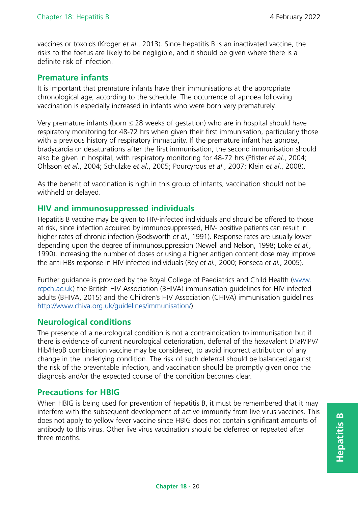vaccines or toxoids (Kroger *et al*., 2013). Since hepatitis B is an inactivated vaccine, the risks to the foetus are likely to be negligible, and it should be given where there is a definite risk of infection.

## **Premature infants**

It is important that premature infants have their immunisations at the appropriate chronological age, according to the schedule. The occurrence of apnoea following vaccination is especially increased in infants who were born very prematurely.

Very premature infants (born  $\leq$  28 weeks of gestation) who are in hospital should have respiratory monitoring for 48-72 hrs when given their first immunisation, particularly those with a previous history of respiratory immaturity. If the premature infant has apnoea, bradycardia or desaturations after the first immunisation, the second immunisation should also be given in hospital, with respiratory monitoring for 48-72 hrs (Pfister *et al*., 2004; Ohlsson *et al*., 2004; Schulzke *et al*., 2005; Pourcyrous *et al*., 2007; Klein *et al*., 2008).

As the benefit of vaccination is high in this group of infants, vaccination should not be withheld or delayed.

## **HIV and immunosuppressed individuals**

Hepatitis B vaccine may be given to HIV-infected individuals and should be offered to those at risk, since infection acquired by immunosuppressed, HIV- positive patients can result in higher rates of chronic infection (Bodsworth *et al.*, 1991). Response rates are usually lower depending upon the degree of immunosuppression (Newell and Nelson, 1998; Loke *et al.*, 1990). Increasing the number of doses or using a higher antigen content dose may improve the anti-HBs response in HIV-infected individuals (Rey *et al.*, 2000; Fonseca *et al.*, 2005).

Further guidance is provided by the Royal College of Paediatrics and Child Health [\(www.](www.rcpch.ac.uk) [rcpch.ac.uk\)](www.rcpch.ac.uk) the British HIV Association (BHIVA) immunisation guidelines for HIV-infected adults (BHIVA, 2015) and the Children's HIV Association (CHIVA) immunisation guidelines [http://www.chiva.org.uk/guidelines/immunisation/\)](http://www.chiva.org.uk/guidelines/immunisation/).

# **Neurological conditions**

The presence of a neurological condition is not a contraindication to immunisation but if there is evidence of current neurological deterioration, deferral of the hexavalent DTaP/IPV/ Hib/HepB combination vaccine may be considered, to avoid incorrect attribution of any change in the underlying condition. The risk of such deferral should be balanced against the risk of the preventable infection, and vaccination should be promptly given once the diagnosis and/or the expected course of the condition becomes clear.

## **Precautions for HBIG**

When HBIG is being used for prevention of hepatitis B, it must be remembered that it may interfere with the subsequent development of active immunity from live virus vaccines. This does not apply to yellow fever vaccine since HBIG does not contain significant amounts of antibody to this virus. Other live virus vaccination should be deferred or repeated after three months.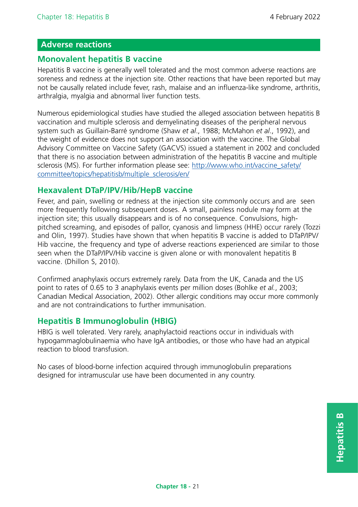### **Adverse reactions**

## **Monovalent hepatitis B vaccine**

Hepatitis B vaccine is generally well tolerated and the most common adverse reactions are soreness and redness at the injection site. Other reactions that have been reported but may not be causally related include fever, rash, malaise and an influenza-like syndrome, arthritis, arthralgia, myalgia and abnormal liver function tests.

Numerous epidemiological studies have studied the alleged association between hepatitis B vaccination and multiple sclerosis and demyelinating diseases of the peripheral nervous system such as Guillain-Barré syndrome (Shaw *et al*., 1988; McMahon *et al*., 1992), and the weight of evidence does not support an association with the vaccine. The Global Advisory Committee on Vaccine Safety (GACVS) issued a statement in 2002 and concluded that there is no association between administration of the hepatitis B vaccine and multiple sclerosis (MS). For further information please see: [http://www.who.int/vaccine\\_safety/](http://www.who.int/vaccine_safety/committee/topics/hepatitisb/multiple_sclerosis/en/) [committee/topics/hepatitisb/multiple\\_sclerosis/en/](http://www.who.int/vaccine_safety/committee/topics/hepatitisb/multiple_sclerosis/en/)

## **Hexavalent DTaP/IPV/Hib/HepB vaccine**

Fever, and pain, swelling or redness at the injection site commonly occurs and are seen more frequently following subsequent doses. A small, painless nodule may form at the injection site; this usually disappears and is of no consequence. Convulsions, highpitched screaming, and episodes of pallor, cyanosis and limpness (HHE) occur rarely (Tozzi and Olin, 1997). Studies have shown that when hepatitis B vaccine is added to DTaP/IPV/ Hib vaccine, the frequency and type of adverse reactions experienced are similar to those seen when the DTaP/IPV/Hib vaccine is given alone or with monovalent hepatitis B vaccine. (Dhillon S, 2010).

Confirmed anaphylaxis occurs extremely rarely. Data from the UK, Canada and the US point to rates of 0.65 to 3 anaphylaxis events per million doses (Bohlke *et al.*, 2003; Canadian Medical Association, 2002). Other allergic conditions may occur more commonly and are not contraindications to further immunisation.

## **Hepatitis B Immunoglobulin (HBIG)**

HBIG is well tolerated. Very rarely, anaphylactoid reactions occur in individuals with hypogammaglobulinaemia who have IgA antibodies, or those who have had an atypical reaction to blood transfusion.

No cases of blood-borne infection acquired through immunoglobulin preparations designed for intramuscular use have been documented in any country.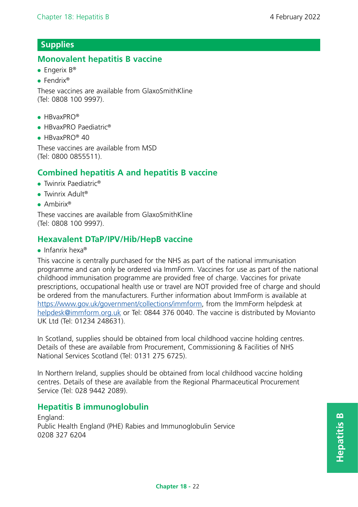# **Supplies**

## **Monovalent hepatitis B vaccine**

- Engerix B<sup>®</sup>
- $\bullet$  Fendrix®

These vaccines are available from GlaxoSmithKline (Tel: 0808 100 9997).

- $\bullet$  HBvaxPRO®
- HBvaxPRO Paediatric<sup>®</sup>
- $\bullet$  HBvaxPRO® 40

These vaccines are available from MSD (Tel: 0800 0855511).

# **Combined hepatitis A and hepatitis B vaccine**

- Twinrix Paediatric®
- Twinrix Adult<sup>®</sup>
- Ambirix<sup>®</sup>

These vaccines are available from GlaxoSmithKline (Tel: 0808 100 9997).

# **Hexavalent DTaP/IPV/Hib/HepB vaccine**

 $\bullet$  Infanrix hexa<sup>®</sup>

This vaccine is centrally purchased for the NHS as part of the national immunisation programme and can only be ordered via ImmForm. Vaccines for use as part of the national childhood immunisation programme are provided free of charge. Vaccines for private prescriptions, occupational health use or travel are NOT provided free of charge and should be ordered from the manufacturers. Further information about ImmForm is available at https://www.gov.uk/government/collections/immform, from the ImmForm helpdesk at helpdesk@immform.org.uk or Tel: 0844 376 0040. The vaccine is distributed by Movianto UK Ltd (Tel: 01234 248631).

In Scotland, supplies should be obtained from local childhood vaccine holding centres. Details of these are available from Procurement, Commissioning & Facilities of NHS National Services Scotland (Tel: 0131 275 6725).

In Northern Ireland, supplies should be obtained from local childhood vaccine holding centres. Details of these are available from the Regional Pharmaceutical Procurement Service (Tel: 028 9442 2089).

# **Hepatitis B immunoglobulin**

England: Public Health England (PHE) Rabies and Immunoglobulin Service 0208 327 6204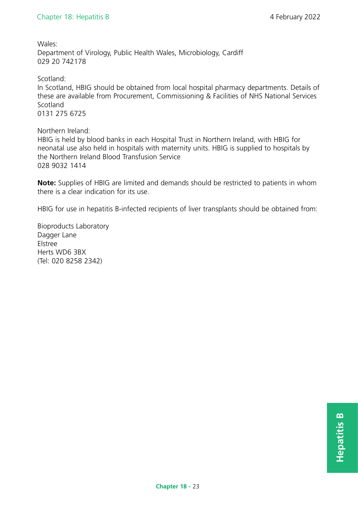Wales: Department of Virology, Public Health Wales, Microbiology, Cardiff 029 20 742178

Scotland:

In Scotland, HBIG should be obtained from local hospital pharmacy departments. Details of these are available from Procurement, Commissioning & Facilities of NHS National Services Scotland 0131 275 6725

Northern Ireland:

HBIG is held by blood banks in each Hospital Trust in Northern Ireland, with HBIG for neonatal use also held in hospitals with maternity units. HBIG is supplied to hospitals by the Northern Ireland Blood Transfusion Service 028 9032 1414

**Note:** Supplies of HBIG are limited and demands should be restricted to patients in whom there is a clear indication for its use.

HBIG for use in hepatitis B-infected recipients of liver transplants should be obtained from:

Bioproducts Laboratory Dagger Lane Elstree Herts WD6 3BX (Tel: 020 8258 2342)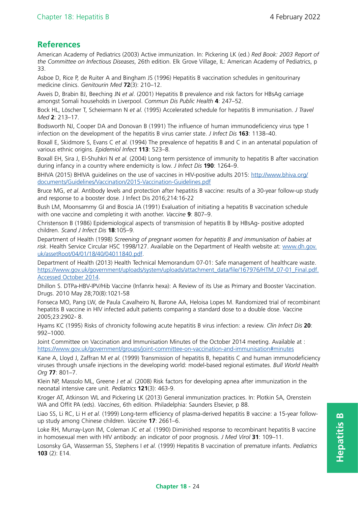# **References**

American Academy of Pediatrics (2003) Active immunization. In: Pickering LK (ed.) *Red Book: 2003 Report of the Committee on Infectious Diseases*, 26th edition. Elk Grove Village, IL: American Academy of Pediatrics, p 33.

Asboe D, Rice P, de Ruiter A and Bingham JS (1996) Hepatitis B vaccination schedules in genitourinary medicine clinics. *Genitourin Med* **72**(3): 210–12.

Aweis D, Brabin BJ, Beeching JN *et al*. (2001) Hepatitis B prevalence and risk factors for HBsAg carriage amongst Somali households in Liverpool. *Commun Dis Public Health* **4**: 247–52.

Bock HL, Löscher T, Scheiermann N *et al.* (1995) Accelerated schedule for hepatitis B immunisation. *J Travel Med* **2**: 213–17.

Bodsworth NJ, Cooper DA and Donovan B (1991) The influence of human immunodeficiency virus type 1 infection on the development of the hepatitis B virus carrier state. *J Infect Dis* **163**: 1138–40.

Boxall E, Skidmore S, Evans C *et al.* (1994) The prevalence of hepatitis B and C in an antenatal population of various ethnic origins. *Epidemiol Infect* **113**: 523–8.

Boxall EH, Sira J, El-Shuhkri N *et al.* (2004) Long term persistence of immunity to hepatitis B after vaccination during infancy in a country where endemicity is low. *J Infect Dis* **190**: 1264–9.

BHIVA (2015) BHIVA guidelines on the use of vaccines in HIV-positive adults 2015: [http://www.bhiva.org/](http://www.bhiva.org/documents/Guidelines/Vaccination/2015-Vaccination-Guidelines.pdf) [documents/Guidelines/Vaccination/2015-Vaccination-Guidelines.pdf](http://www.bhiva.org/documents/Guidelines/Vaccination/2015-Vaccination-Guidelines.pdf)

Bruce MG, *et al*. Antibody levels and protection after hepatitis B vaccine: results of a 30-year follow-up study and response to a booster dose. J Infect Dis 2016;214:16-22

Bush LM, Moonsammy GI and Boscia JA (1991) Evaluation of initiating a hepatitis B vaccination schedule with one vaccine and completing it with another. *Vaccine* **9**: 807–9.

Christenson B (1986) Epidemiological aspects of transmission of hepatitis B by HBsAg- positive adopted children. *Scand J Infect Dis* **18**:105–9.

Department of Health (1998) *Screening of pregnant women for hepatitis B and immunisation of babies at risk*. Health Service Circular HSC 1998/127. Available on the Department of Health website at: [www.dh.gov.](www.dh.gov.uk/assetRoot/04/01/18/40/04011840.pdf) [uk/assetRoot/04/01/18/40/04011840.pdf.](www.dh.gov.uk/assetRoot/04/01/18/40/04011840.pdf)

Department of Health (2013) Health Technical Memorandum 07-01: Safe management of healthcare waste. [https://www.gov.uk/government/uploads/system/uploads/attachment\\_data/file/167976/HTM\\_07-01\\_Final.pdf.](https://www.gov.uk/government/uploads/system/uploads/attachment_data/file/167976/HTM_07-01_Final.pdf.Accessed%20October%202014) [Accessed October 2014](https://www.gov.uk/government/uploads/system/uploads/attachment_data/file/167976/HTM_07-01_Final.pdf.Accessed%20October%202014).

Dhillon S. DTPa-HBV-IPV/Hib Vaccine (Infanrix hexa): A Review of its Use as Primary and Booster Vaccination. Drugs. 2010 May 28;70(8):1021-58

Fonseca MO, Pang LW, de Paula Cavalheiro N, Barone AA, Heloisa Lopes M. Randomized trial of recombinant hepatitis B vaccine in HIV infected adult patients comparing a standard dose to a double dose. Vaccine 2005;23:2902- 8.

Hyams KC (1995) Risks of chronicity following acute hepatitis B virus infection: a review. *Clin Infect Dis* **20**: 992–1000.

Joint Committee on Vaccination and Immunisation Minutes of the October 2014 meeting. Available at : <https://www.gov.uk/government/groups/joint-committee-on-vaccination-and-immunisation#minutes>

Kane A, Lloyd J, Zaffran M *et al.* (1999) Transmission of hepatitis B, hepatitis C and human immunodeficiency viruses through unsafe injections in the developing world: model-based regional estimates. *Bull World Health Org* **77**: 801–7.

Klein NP, Massolo ML, Greene J *et al.* (2008) Risk factors for developing apnea after immunization in the neonatal intensive care unit. *Pediatrics* **121**(3): 463-9.

Kroger AT, Atkinson WL and Pickering LK (2013) General immunization practices. In: Plotkin SA, Orenstein WA and Offit PA (eds). *Vaccines*, 6th edition. Philadelphia: Saunders Elsevier, p 88.

Liao SS, Li RC, Li H *et al.* (1999) Long-term efficiency of plasma-derived hepatitis B vaccine: a 15-year followup study among Chinese children. *Vaccine* **17**: 2661–6.

Loke RH, Murray-Lyon IM, Coleman JC *et al.* (1990) Diminished response to recombinant hepatitis B vaccine in homosexual men with HIV antibody: an indicator of poor prognosis. *J Med Virol* **31**: 109–11.

Losonsky GA, Wasserman SS, Stephens I *et al.* (1999) Hepatitis B vaccination of premature infants. *Pediatrics*  **103** (2): E14.